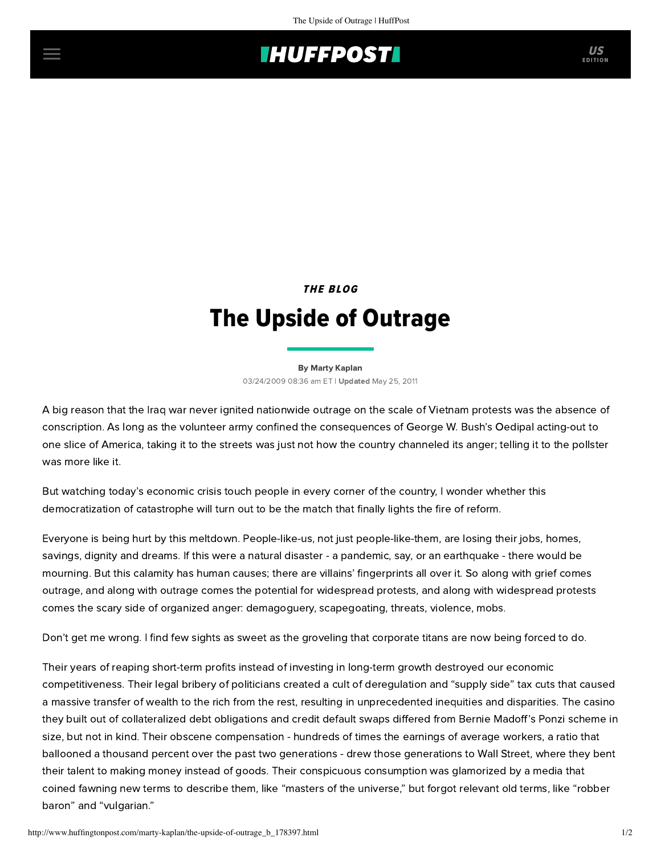## **THUFFPOSTI** US

THE BLOG

## The Upside of Outrage

[By Marty Kaplan](http://www.huffingtonpost.com/author/marty-kaplan) 03/24/2009 08:36 am ET | Updated May 25, 2011

A big reason that the Iraq war never ignited nationwide outrage on the scale of Vietnam protests was the absence of conscription. As long as the volunteer army confined the consequences of George W. Bush's Oedipal acting-out to one slice of America, taking it to the streets was just not how the country channeled its anger; telling it to the pollster was more like it.

But watching today's economic crisis touch people in every corner of the country, I wonder whether this democratization of catastrophe will turn out to be the match that finally lights the fire of reform.

Everyone is being hurt by this meltdown. People-like-us, not just people-like-them, are losing their jobs, homes, savings, dignity and dreams. If this were a natural disaster - a pandemic, say, or an earthquake - there would be mourning. But this calamity has human causes; there are villains' fingerprints all over it. So along with grief comes outrage, and along with outrage comes the potential for widespread protests, and along with widespread protests comes the scary side of organized anger: demagoguery, scapegoating, threats, violence, mobs.

Don't get me wrong. I find few sights as sweet as the groveling that corporate titans are now being forced to do.

Their years of reaping short-term profits instead of investing in long-term growth destroyed our economic competitiveness. Their legal bribery of politicians created a cult of deregulation and "supply side" tax cuts that caused a massive transfer of wealth to the rich from the rest, resulting in unprecedented inequities and disparities. The casino they built out of collateralized debt obligations and credit default swaps differed from Bernie Madoff's Ponzi scheme in size, but not in kind. Their obscene compensation - hundreds of times the earnings of average workers, a ratio that ballooned a thousand percent over the past two generations - drew those generations to Wall Street, where they bent their talent to making money instead of goods. Their conspicuous consumption was glamorized by a media that coined fawning new terms to describe them, like "masters of the universe," but forgot relevant old terms, like "robber baron" and "vulgarian."